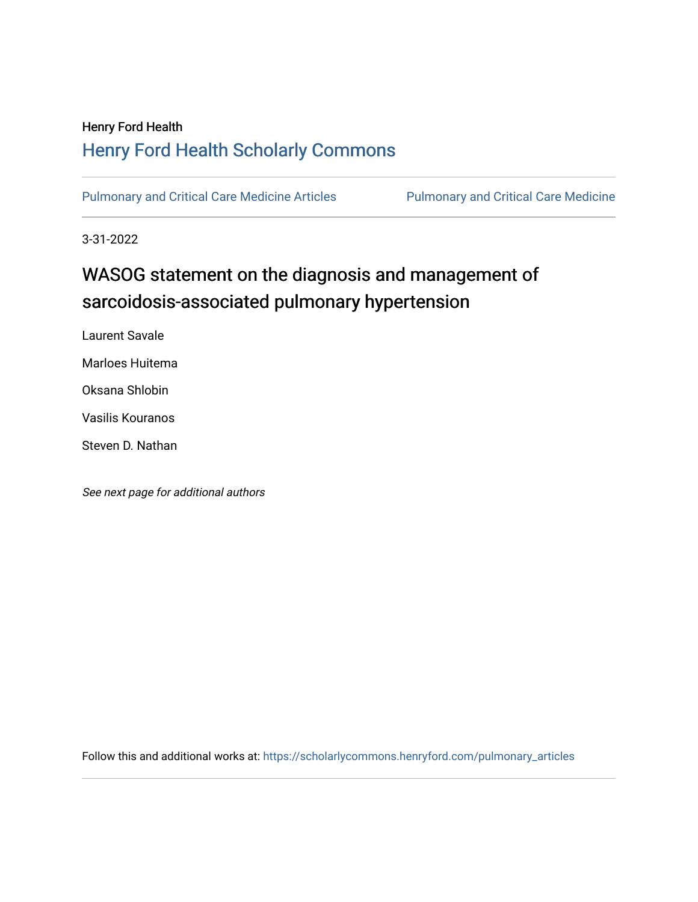## Henry Ford Health [Henry Ford Health Scholarly Commons](https://scholarlycommons.henryford.com/)

[Pulmonary and Critical Care Medicine Articles](https://scholarlycommons.henryford.com/pulmonary_articles) Pulmonary and Critical Care Medicine

3-31-2022

# WASOG statement on the diagnosis and management of sarcoidosis-associated pulmonary hypertension

Laurent Savale

Marloes Huitema

Oksana Shlobin

Vasilis Kouranos

Steven D. Nathan

See next page for additional authors

Follow this and additional works at: [https://scholarlycommons.henryford.com/pulmonary\\_articles](https://scholarlycommons.henryford.com/pulmonary_articles?utm_source=scholarlycommons.henryford.com%2Fpulmonary_articles%2F141&utm_medium=PDF&utm_campaign=PDFCoverPages)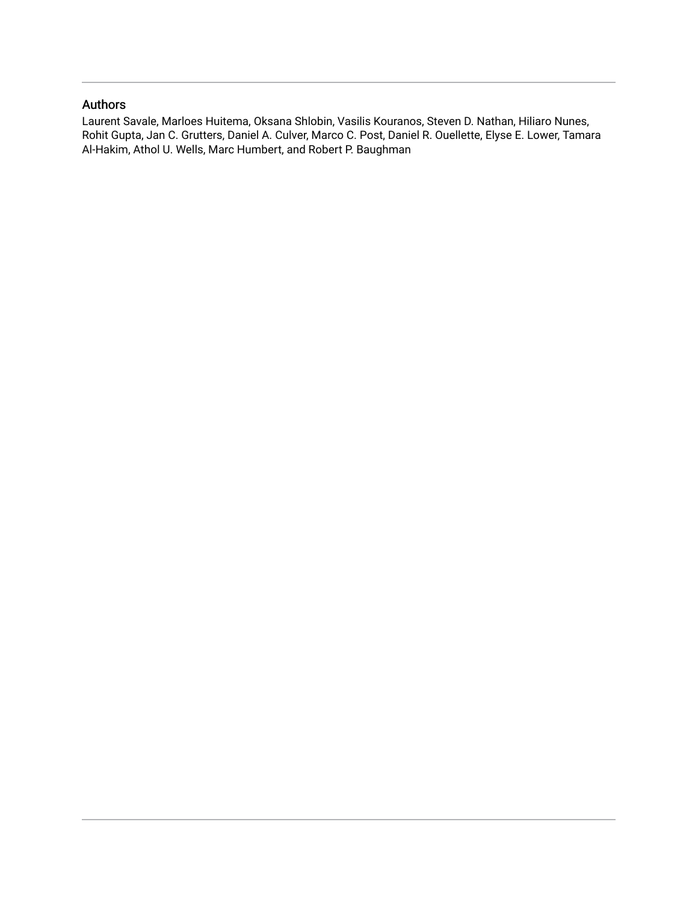## Authors

Laurent Savale, Marloes Huitema, Oksana Shlobin, Vasilis Kouranos, Steven D. Nathan, Hiliaro Nunes, Rohit Gupta, Jan C. Grutters, Daniel A. Culver, Marco C. Post, Daniel R. Ouellette, Elyse E. Lower, Tamara Al-Hakim, Athol U. Wells, Marc Humbert, and Robert P. Baughman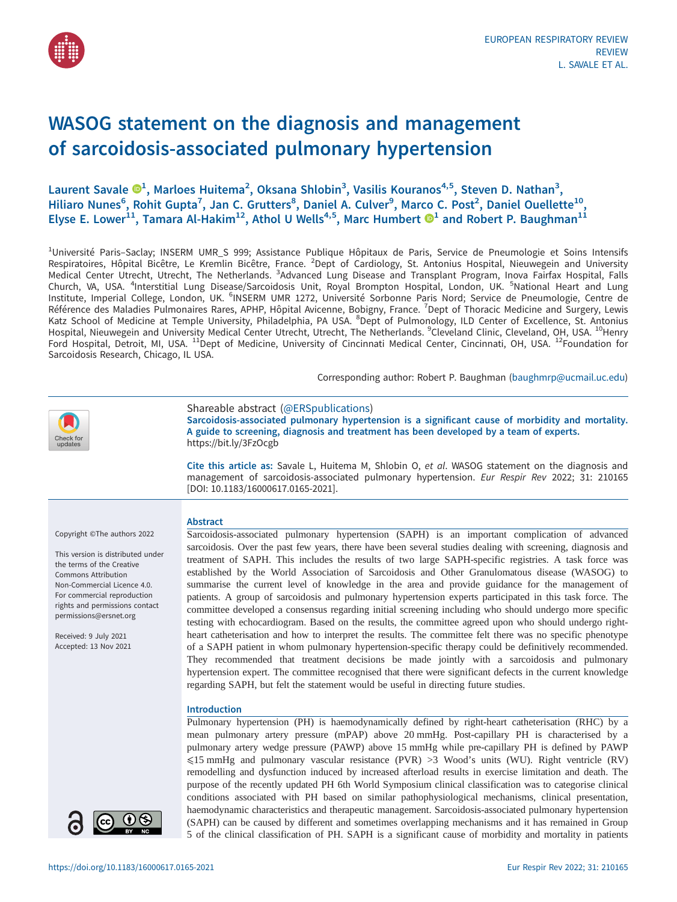

## WASOG statement on the diagnosis and management of sarcoidosis-associated pulmonary hypertension

Laurent Savale  $\mathbf{D}^1$  $\mathbf{D}^1$ , Marloes Huitema<sup>2</sup>, Oksana Shlobin<sup>3</sup>, Vasilis Kouranos<sup>4,5</sup>, Steven D. Nathan<sup>3</sup>, Hiliaro Nunes<sup>6</sup>, Rohit Gupta<sup>7</sup>, Jan C. Grutters<sup>8</sup>, Daniel A. Culver<sup>9</sup>, Marco C. Post<sup>2</sup>, Daniel Ouellette<sup>10</sup>, Elyse E. Lower<sup>[1](https://orcid.org/0000-0003-0703-2892)1</sup>, Tamara Al-Hakim<sup>12</sup>, Athol U Wells<sup>4,5</sup>, Marc Humbert  $\mathbf{O}^1$  and Robert P. Baughman<sup>11</sup>

<sup>1</sup>Université Paris–Saclay; INSERM UMR\_S 999; Assistance Publique Hôpitaux de Paris, Service de Pneumologie et Soins Intensifs Respiratoires, Hôpital Bicêtre, Le Kremlin Bicêtre, France. <sup>2</sup>Dept of Cardiology, St. Antonius Hospital, Nieuwegein and University Medical Center Utrecht, Utrecht, The Netherlands. <sup>3</sup>Advanced Lung Disease and Transplant Program, Inova Fairfax Hospital, Falls Church, VA, USA. <sup>4</sup>Interstitial Lung Disease/Sarcoidosis Unit, Royal Brompton Hospital, London, UK. <sup>5</sup>National Heart and Lung Institute, Imperial College, London, UK. <sup>6</sup>INSERM UMR 1272, Université Sorbonne Paris Nord; Service de Pneumologie, Centre de Référence des Maladies Pulmonaires Rares, APHP, Hôpital Avicenne, Bobigny, France. <sup>7</sup>Dept of Thoracic Medicine and Surgery, Lewis Katz School of Medicine at Temple University, Philadelphia, PA USA. <sup>8</sup>Dept of Pulmonology, ILD Center of Excellence, St. Antonius Hospital, Nieuwegein and University Medical Center Utrecht, Utrecht, The Netherlands. <sup>9</sup>Cleveland Clinic, Cleveland, OH, USA. <sup>10</sup>Henry Ford Hospital, Detroit, MI, USA. <sup>11</sup>Dept of Medicine, University of Cincinnati Medical Center, Cincinnati, OH, USA. <sup>12</sup>Foundation for Sarcoidosis Research, Chicago, IL USA.

Corresponding author: Robert P. Baughman ([baughmrp@ucmail.uc.edu](mailto:baughmrp@ucmail.uc.edu))



Shareable abstract (@ERSpublications)

Sarcoidosis-associated pulmonary hypertension is a significant cause of morbidity and mortality. A guide to screening, diagnosis and treatment has been developed by a team of experts. <https://bit.ly/3FzOcgb>

Cite this article as: Savale L, Huitema M, Shlobin O, et al. WASOG statement on the diagnosis and management of sarcoidosis-associated pulmonary hypertension. Eur Respir Rev 2022; 31: 210165 [\[DOI: 10.1183/16000617.0165-2021\].](https://doi.org/10.1183/16000617.0165-2021)

Sarcoidosis-associated pulmonary hypertension (SAPH) is an important complication of advanced sarcoidosis. Over the past few years, there have been several studies dealing with screening, diagnosis and treatment of SAPH. This includes the results of two large SAPH-specific registries. A task force was established by the World Association of Sarcoidosis and Other Granulomatous disease (WASOG) to summarise the current level of knowledge in the area and provide guidance for the management of patients. A group of sarcoidosis and pulmonary hypertension experts participated in this task force. The committee developed a consensus regarding initial screening including who should undergo more specific testing with echocardiogram. Based on the results, the committee agreed upon who should undergo rightheart catheterisation and how to interpret the results. The committee felt there was no specific phenotype of a SAPH patient in whom pulmonary hypertension-specific therapy could be definitively recommended. They recommended that treatment decisions be made jointly with a sarcoidosis and pulmonary hypertension expert. The committee recognised that there were significant defects in the current knowledge

Pulmonary hypertension (PH) is haemodynamically defined by right-heart catheterisation (RHC) by a mean pulmonary artery pressure (mPAP) above 20 mmHg. Post-capillary PH is characterised by a pulmonary artery wedge pressure (PAWP) above 15 mmHg while pre-capillary PH is defined by PAWP ⩽15 mmHg and pulmonary vascular resistance (PVR) >3 Wood's units (WU). Right ventricle (RV) remodelling and dysfunction induced by increased afterload results in exercise limitation and death. The purpose of the recently updated PH 6th World Symposium clinical classification was to categorise clinical conditions associated with PH based on similar pathophysiological mechanisms, clinical presentation, haemodynamic characteristics and therapeutic management. Sarcoidosis-associated pulmonary hypertension (SAPH) can be caused by different and sometimes overlapping mechanisms and it has remained in Group

regarding SAPH, but felt the statement would be useful in directing future studies.

Copyright ©The authors 2022

This version is distributed under the terms of the Creative Commons Attribution Non-Commercial Licence 4.0. For commercial reproduction rights and permissions contact [permissions@ersnet.org](mailto:permissions@ersnet.org)

Received: 9 July 2021 Accepted: 13 Nov 2021



5 of the clinical classification of PH. SAPH is a significant cause of morbidity and mortality in patients

Abstract

Introduction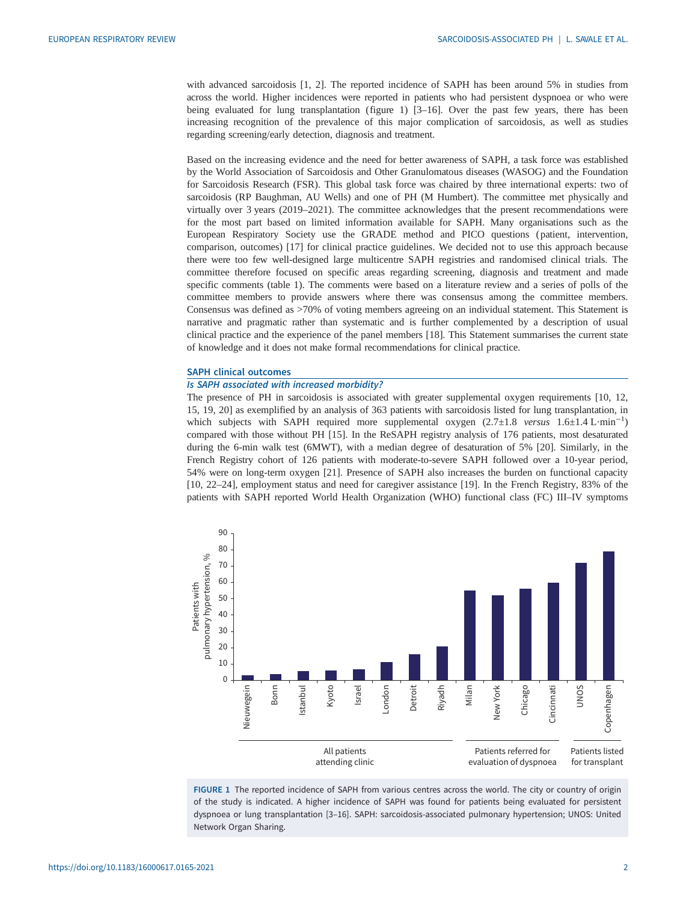with advanced sarcoidosis [\[1, 2](#page-15-0)]. The reported incidence of SAPH has been around 5% in studies from across the world. Higher incidences were reported in patients who had persistent dyspnoea or who were being evaluated for lung transplantation (figure 1) [[3](#page-15-0)–[16\]](#page-15-0). Over the past few years, there has been increasing recognition of the prevalence of this major complication of sarcoidosis, as well as studies regarding screening/early detection, diagnosis and treatment.

Based on the increasing evidence and the need for better awareness of SAPH, a task force was established by the World Association of Sarcoidosis and Other Granulomatous diseases (WASOG) and the Foundation for Sarcoidosis Research (FSR). This global task force was chaired by three international experts: two of sarcoidosis (RP Baughman, AU Wells) and one of PH (M Humbert). The committee met physically and virtually over 3 years (2019–2021). The committee acknowledges that the present recommendations were for the most part based on limited information available for SAPH. Many organisations such as the European Respiratory Society use the GRADE method and PICO questions ( patient, intervention, comparison, outcomes) [[17](#page-16-0)] for clinical practice guidelines. We decided not to use this approach because there were too few well-designed large multicentre SAPH registries and randomised clinical trials. The committee therefore focused on specific areas regarding screening, diagnosis and treatment and made specific comments [\(table 1](#page-4-0)). The comments were based on a literature review and a series of polls of the committee members to provide answers where there was consensus among the committee members. Consensus was defined as >70% of voting members agreeing on an individual statement. This Statement is narrative and pragmatic rather than systematic and is further complemented by a description of usual clinical practice and the experience of the panel members [[18\]](#page-16-0). This Statement summarises the current state of knowledge and it does not make formal recommendations for clinical practice.

#### SAPH clinical outcomes

## Is SAPH associated with increased morbidity?

The presence of PH in sarcoidosis is associated with greater supplemental oxygen requirements [[10, 12](#page-15-0), [15](#page-15-0), [19, 20\]](#page-16-0) as exemplified by an analysis of 363 patients with sarcoidosis listed for lung transplantation, in which subjects with SAPH required more supplemental oxygen  $(2.7\pm1.8 \text{ versus } 1.6\pm1.4 \text{ L}\cdot\text{min}^{-1})$ <br>compared with those without PH [15]. In the ReSAPH registry applyeis of 176 patients, most desaturated compared with those without PH [\[15](#page-15-0)]. In the ReSAPH registry analysis of 176 patients, most desaturated during the 6-min walk test (6MWT), with a median degree of desaturation of 5% [\[20](#page-16-0)]. Similarly, in the French Registry cohort of 126 patients with moderate-to-severe SAPH followed over a 10-year period, 54% were on long-term oxygen [\[21\]](#page-16-0). Presence of SAPH also increases the burden on functional capacity [\[10](#page-15-0), [22](#page-16-0)–[24](#page-16-0)], employment status and need for caregiver assistance [\[19](#page-16-0)]. In the French Registry, 83% of the patients with SAPH reported World Health Organization (WHO) functional class (FC) III–IV symptoms



FIGURE 1 The reported incidence of SAPH from various centres across the world. The city or country of origin of the study is indicated. A higher incidence of SAPH was found for patients being evaluated for persistent dyspnoea or lung transplantation [\[3](#page-15-0)–[16\]](#page-15-0). SAPH: sarcoidosis-associated pulmonary hypertension; UNOS: United Network Organ Sharing.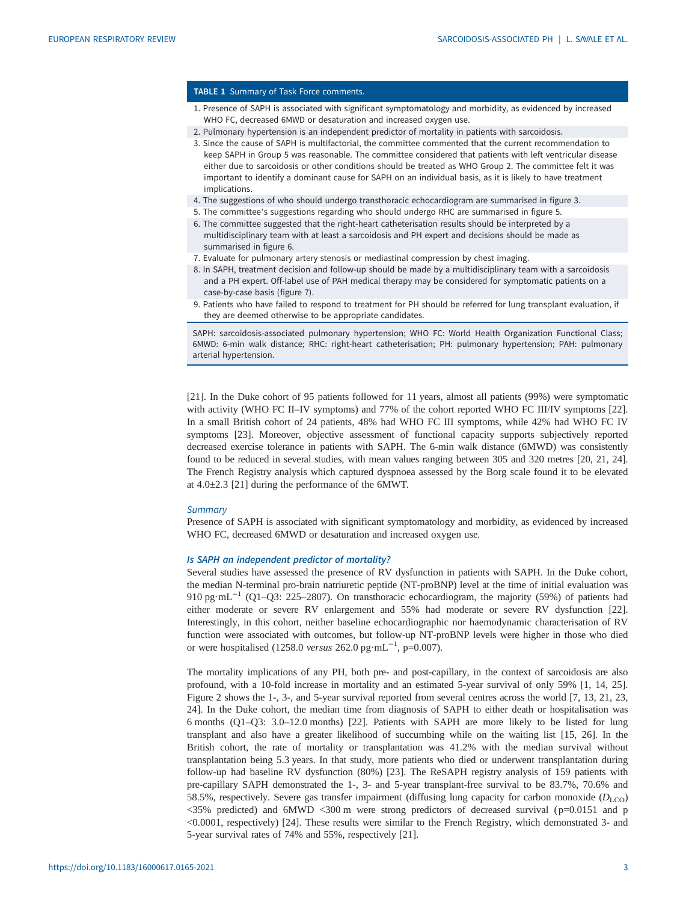#### <span id="page-4-0"></span>TABLE 1 Summary of Task Force comments.

- 1. Presence of SAPH is associated with significant symptomatology and morbidity, as evidenced by increased WHO FC, decreased 6MWD or desaturation and increased oxygen use.
- 2. Pulmonary hypertension is an independent predictor of mortality in patients with sarcoidosis.
- 3. Since the cause of SAPH is multifactorial, the committee commented that the current recommendation to keep SAPH in Group 5 was reasonable. The committee considered that patients with left ventricular disease either due to sarcoidosis or other conditions should be treated as WHO Group 2. The committee felt it was important to identify a dominant cause for SAPH on an individual basis, as it is likely to have treatment implications.
- 4. The suggestions of who should undergo transthoracic echocardiogram are summarised in [figure 3](#page-7-0).
- 5. The committee's suggestions regarding who should undergo RHC are summarised in [figure 5.](#page-9-0)
- 6. The committee suggested that the right-heart catheterisation results should be interpreted by a multidisciplinary team with at least a sarcoidosis and PH expert and decisions should be made as summarised in [figure 6.](#page-10-0)
- 7. Evaluate for pulmonary artery stenosis or mediastinal compression by chest imaging.
- 8. In SAPH, treatment decision and follow-up should be made by a multidisciplinary team with a sarcoidosis and a PH expert. Off-label use of PAH medical therapy may be considered for symptomatic patients on a case-by-case basis [\(figure 7\)](#page-12-0).
- 9. Patients who have failed to respond to treatment for PH should be referred for lung transplant evaluation, if they are deemed otherwise to be appropriate candidates.

SAPH: sarcoidosis-associated pulmonary hypertension; WHO FC: World Health Organization Functional Class; 6MWD: 6-min walk distance; RHC: right-heart catheterisation; PH: pulmonary hypertension; PAH: pulmonary arterial hypertension.

[\[21](#page-16-0)]. In the Duke cohort of 95 patients followed for 11 years, almost all patients (99%) were symptomatic with activity (WHO FC II–IV symptoms) and 77% of the cohort reported WHO FC III/IV symptoms [[22\]](#page-16-0). In a small British cohort of 24 patients, 48% had WHO FC III symptoms, while 42% had WHO FC IV symptoms [\[23](#page-16-0)]. Moreover, objective assessment of functional capacity supports subjectively reported decreased exercise tolerance in patients with SAPH. The 6-min walk distance (6MWD) was consistently found to be reduced in several studies, with mean values ranging between 305 and 320 metres [[20, 21, 24\]](#page-16-0). The French Registry analysis which captured dyspnoea assessed by the Borg scale found it to be elevated at 4.0±2.3 [\[21](#page-16-0)] during the performance of the 6MWT.

#### **Summary**

Presence of SAPH is associated with significant symptomatology and morbidity, as evidenced by increased WHO FC, decreased 6MWD or desaturation and increased oxygen use.

#### Is SAPH an independent predictor of mortality?

Several studies have assessed the presence of RV dysfunction in patients with SAPH. In the Duke cohort, the median N-terminal pro-brain natriuretic peptide (NT-proBNP) level at the time of initial evaluation was 910 pg·mL−<sup>1</sup> (Q1–Q3: 225–2807). On transthoracic echocardiogram, the majority (59%) of patients had either moderate or severe RV enlargement and 55% had moderate or severe RV dysfunction [[22\]](#page-16-0). Interestingly, in this cohort, neither baseline echocardiographic nor haemodynamic characterisation of RV function were associated with outcomes, but follow-up NT-proBNP levels were higher in those who died or were hospitalised (1258.0 *versus* 262.0 pg·mL<sup>-1</sup>, p=0.007).

The mortality implications of any PH, both pre- and post-capillary, in the context of sarcoidosis are also profound, with a 10-fold increase in mortality and an estimated 5-year survival of only 59% [[1](#page-15-0), [14,](#page-15-0) [25\]](#page-16-0). [Figure 2](#page-5-0) shows the 1-, 3-, and 5-year survival reported from several centres across the world [\[7, 13,](#page-15-0) [21, 23](#page-16-0), [24\]](#page-16-0). In the Duke cohort, the median time from diagnosis of SAPH to either death or hospitalisation was 6 months (Q1–Q3: 3.0–12.0 months) [[22\]](#page-16-0). Patients with SAPH are more likely to be listed for lung transplant and also have a greater likelihood of succumbing while on the waiting list [[15](#page-15-0), [26\]](#page-16-0). In the British cohort, the rate of mortality or transplantation was 41.2% with the median survival without transplantation being 5.3 years. In that study, more patients who died or underwent transplantation during follow-up had baseline RV dysfunction (80%) [\[23](#page-16-0)]. The ReSAPH registry analysis of 159 patients with pre-capillary SAPH demonstrated the 1-, 3- and 5-year transplant-free survival to be 83.7%, 70.6% and 58.5%, respectively. Severe gas transfer impairment (diffusing lung capacity for carbon monoxide ( $D_{\text{LCO}}$ ) <35% predicted) and 6MWD <300 m were strong predictors of decreased survival ( p=0.0151 and p <0.0001, respectively) [\[24](#page-16-0)]. These results were similar to the French Registry, which demonstrated 3- and 5-year survival rates of 74% and 55%, respectively [\[21](#page-16-0)].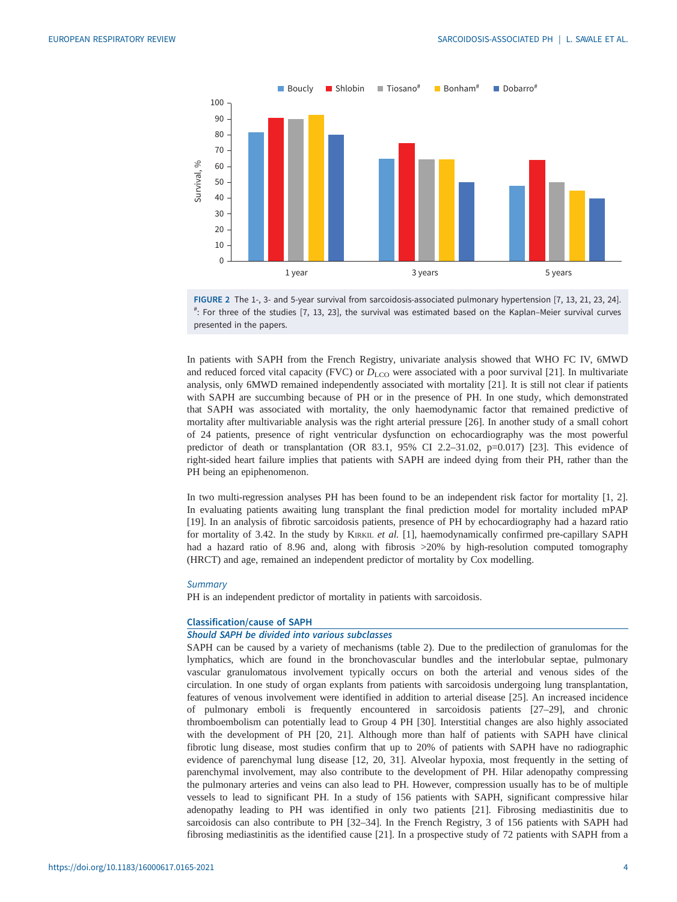<span id="page-5-0"></span>



In patients with SAPH from the French Registry, univariate analysis showed that WHO FC IV, 6MWD and reduced forced vital capacity (FVC) or  $D_{\text{LCO}}$  were associated with a poor survival [\[21](#page-16-0)]. In multivariate analysis, only 6MWD remained independently associated with mortality [[21\]](#page-16-0). It is still not clear if patients with SAPH are succumbing because of PH or in the presence of PH. In one study, which demonstrated that SAPH was associated with mortality, the only haemodynamic factor that remained predictive of mortality after multivariable analysis was the right arterial pressure [\[26](#page-16-0)]. In another study of a small cohort of 24 patients, presence of right ventricular dysfunction on echocardiography was the most powerful predictor of death or transplantation (OR 83.1, 95% CI 2.2-31.02, p=0.017) [[23\]](#page-16-0). This evidence of right-sided heart failure implies that patients with SAPH are indeed dying from their PH, rather than the PH being an epiphenomenon.

In two multi-regression analyses PH has been found to be an independent risk factor for mortality [\[1, 2\]](#page-15-0). In evaluating patients awaiting lung transplant the final prediction model for mortality included mPAP [\[19](#page-16-0)]. In an analysis of fibrotic sarcoidosis patients, presence of PH by echocardiography had a hazard ratio for mortality of 3.42. In the study by KIRKIL et al. [\[1\]](#page-15-0), haemodynamically confirmed pre-capillary SAPH had a hazard ratio of 8.96 and, along with fibrosis >20% by high-resolution computed tomography (HRCT) and age, remained an independent predictor of mortality by Cox modelling.

#### **Summary**

PH is an independent predictor of mortality in patients with sarcoidosis.

### Classification/cause of SAPH

## Should SAPH be divided into various subclasses

SAPH can be caused by a variety of mechanisms [\(table 2](#page-6-0)). Due to the predilection of granulomas for the lymphatics, which are found in the bronchovascular bundles and the interlobular septae, pulmonary vascular granulomatous involvement typically occurs on both the arterial and venous sides of the circulation. In one study of organ explants from patients with sarcoidosis undergoing lung transplantation, features of venous involvement were identified in addition to arterial disease [[25\]](#page-16-0). An increased incidence of pulmonary emboli is frequently encountered in sarcoidosis patients [[27](#page-16-0)–[29](#page-16-0)], and chronic thromboembolism can potentially lead to Group 4 PH [[30\]](#page-16-0). Interstitial changes are also highly associated with the development of PH [\[20](#page-16-0), [21\]](#page-16-0). Although more than half of patients with SAPH have clinical fibrotic lung disease, most studies confirm that up to 20% of patients with SAPH have no radiographic evidence of parenchymal lung disease [\[12](#page-15-0), [20](#page-16-0), [31](#page-16-0)]. Alveolar hypoxia, most frequently in the setting of parenchymal involvement, may also contribute to the development of PH. Hilar adenopathy compressing the pulmonary arteries and veins can also lead to PH. However, compression usually has to be of multiple vessels to lead to significant PH. In a study of 156 patients with SAPH, significant compressive hilar adenopathy leading to PH was identified in only two patients [\[21](#page-16-0)]. Fibrosing mediastinitis due to sarcoidosis can also contribute to PH [\[32](#page-16-0)–[34\]](#page-16-0). In the French Registry, 3 of 156 patients with SAPH had fibrosing mediastinitis as the identified cause [\[21](#page-16-0)]. In a prospective study of 72 patients with SAPH from a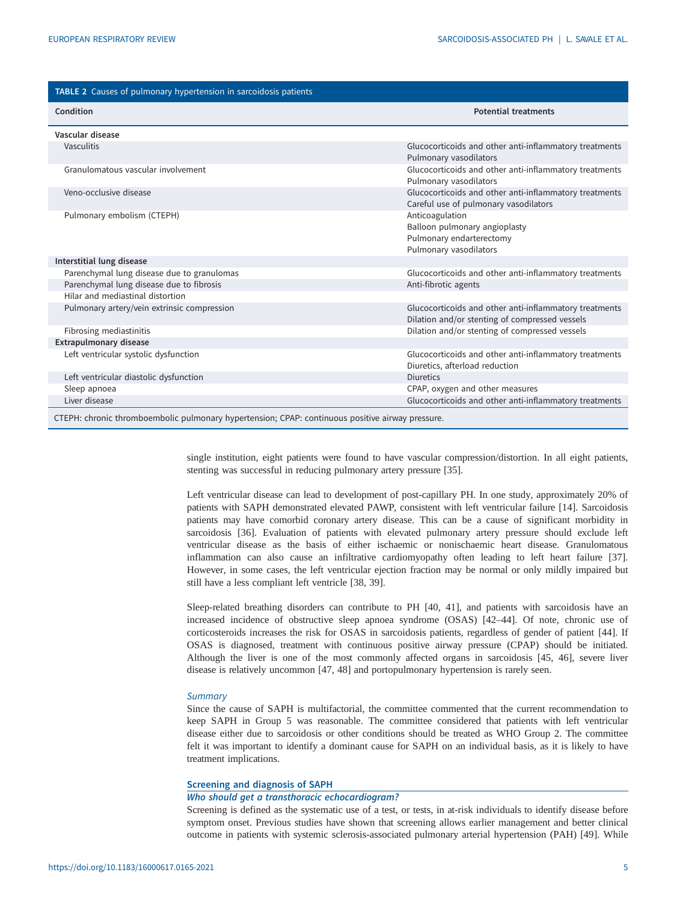<span id="page-6-0"></span>

| TABLE 2 Causes of pulmonary hypertension in sarcoidosis patients |                                                                                                          |
|------------------------------------------------------------------|----------------------------------------------------------------------------------------------------------|
| Condition                                                        | <b>Potential treatments</b>                                                                              |
| Vascular disease                                                 |                                                                                                          |
| Vasculitis                                                       | Glucocorticoids and other anti-inflammatory treatments<br>Pulmonary vasodilators                         |
| Granulomatous vascular involvement                               | Glucocorticoids and other anti-inflammatory treatments<br>Pulmonary vasodilators                         |
| Veno-occlusive disease                                           | Glucocorticoids and other anti-inflammatory treatments<br>Careful use of pulmonary vasodilators          |
| Pulmonary embolism (CTEPH)                                       | Anticoagulation<br>Balloon pulmonary angioplasty<br>Pulmonary endarterectomy<br>Pulmonary vasodilators   |
| Interstitial lung disease                                        |                                                                                                          |
| Parenchymal lung disease due to granulomas                       | Glucocorticoids and other anti-inflammatory treatments                                                   |
| Parenchymal lung disease due to fibrosis                         | Anti-fibrotic agents                                                                                     |
| Hilar and mediastinal distortion                                 |                                                                                                          |
| Pulmonary artery/vein extrinsic compression                      | Glucocorticoids and other anti-inflammatory treatments<br>Dilation and/or stenting of compressed vessels |
| Fibrosing mediastinitis                                          | Dilation and/or stenting of compressed vessels                                                           |
| <b>Extrapulmonary disease</b>                                    |                                                                                                          |
| Left ventricular systolic dysfunction                            | Glucocorticoids and other anti-inflammatory treatments<br>Diuretics, afterload reduction                 |
| Left ventricular diastolic dysfunction                           | <b>Diuretics</b>                                                                                         |
| Sleep apnoea                                                     | CPAP, oxygen and other measures                                                                          |
| Liver disease                                                    | Glucocorticoids and other anti-inflammatory treatments                                                   |
|                                                                  |                                                                                                          |

CTEPH: chronic thromboembolic pulmonary hypertension; CPAP: continuous positive airway pressure.

single institution, eight patients were found to have vascular compression/distortion. In all eight patients, stenting was successful in reducing pulmonary artery pressure [[35](#page-16-0)].

Left ventricular disease can lead to development of post-capillary PH. In one study, approximately 20% of patients with SAPH demonstrated elevated PAWP, consistent with left ventricular failure [[14\]](#page-15-0). Sarcoidosis patients may have comorbid coronary artery disease. This can be a cause of significant morbidity in sarcoidosis [[36\]](#page-16-0). Evaluation of patients with elevated pulmonary artery pressure should exclude left ventricular disease as the basis of either ischaemic or nonischaemic heart disease. Granulomatous inflammation can also cause an infiltrative cardiomyopathy often leading to left heart failure [[37\]](#page-16-0). However, in some cases, the left ventricular ejection fraction may be normal or only mildly impaired but still have a less compliant left ventricle [\[38](#page-16-0), [39](#page-16-0)].

Sleep-related breathing disorders can contribute to PH [[40, 41](#page-16-0)], and patients with sarcoidosis have an increased incidence of obstructive sleep apnoea syndrome (OSAS) [[42](#page-16-0)–[44](#page-16-0)]. Of note, chronic use of corticosteroids increases the risk for OSAS in sarcoidosis patients, regardless of gender of patient [[44\]](#page-16-0). If OSAS is diagnosed, treatment with continuous positive airway pressure (CPAP) should be initiated. Although the liver is one of the most commonly affected organs in sarcoidosis [[45,](#page-16-0) [46](#page-17-0)], severe liver disease is relatively uncommon [[47, 48\]](#page-17-0) and portopulmonary hypertension is rarely seen.

#### **Summary**

Since the cause of SAPH is multifactorial, the committee commented that the current recommendation to keep SAPH in Group 5 was reasonable. The committee considered that patients with left ventricular disease either due to sarcoidosis or other conditions should be treated as WHO Group 2. The committee felt it was important to identify a dominant cause for SAPH on an individual basis, as it is likely to have treatment implications.

#### Screening and diagnosis of SAPH

#### Who should get a transthoracic echocardiogram?

Screening is defined as the systematic use of a test, or tests, in at-risk individuals to identify disease before symptom onset. Previous studies have shown that screening allows earlier management and better clinical outcome in patients with systemic sclerosis-associated pulmonary arterial hypertension (PAH) [[49\]](#page-17-0). While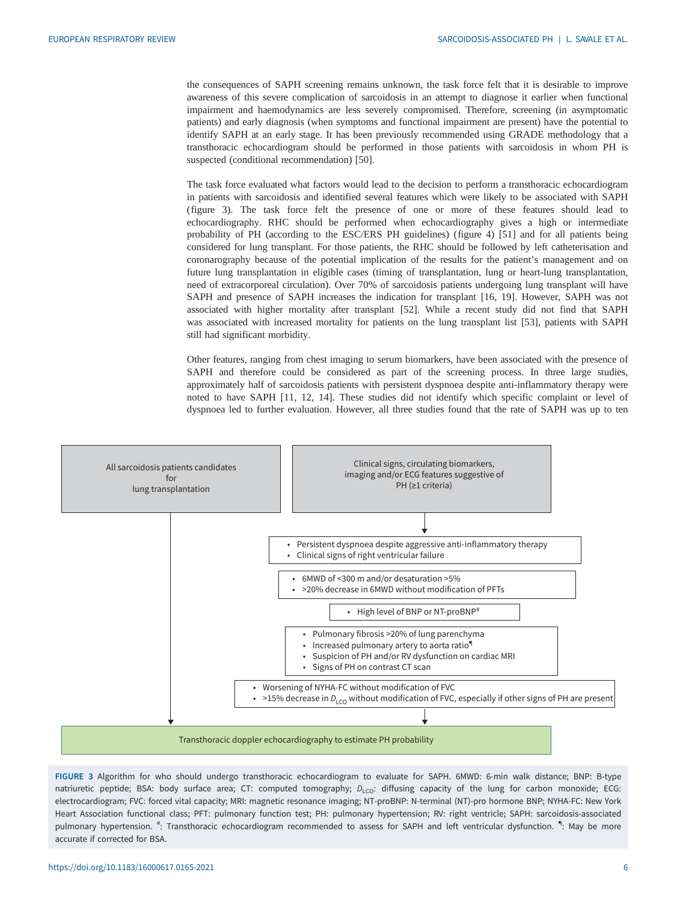<span id="page-7-0"></span>the consequences of SAPH screening remains unknown, the task force felt that it is desirable to improve awareness of this severe complication of sarcoidosis in an attempt to diagnose it earlier when functional impairment and haemodynamics are less severely compromised. Therefore, screening (in asymptomatic patients) and early diagnosis (when symptoms and functional impairment are present) have the potential to identify SAPH at an early stage. It has been previously recommended using GRADE methodology that a transthoracic echocardiogram should be performed in those patients with sarcoidosis in whom PH is suspected (conditional recommendation) [[50\]](#page-17-0).

The task force evaluated what factors would lead to the decision to perform a transthoracic echocardiogram in patients with sarcoidosis and identified several features which were likely to be associated with SAPH (figure 3). The task force felt the presence of one or more of these features should lead to echocardiography. RHC should be performed when echocardiography gives a high or intermediate probability of PH (according to the ESC/ERS PH guidelines) [\(figure 4](#page-8-0)) [[51\]](#page-17-0) and for all patients being considered for lung transplant. For those patients, the RHC should be followed by left catheterisation and coronarography because of the potential implication of the results for the patient's management and on future lung transplantation in eligible cases (timing of transplantation, lung or heart-lung transplantation, need of extracorporeal circulation). Over 70% of sarcoidosis patients undergoing lung transplant will have SAPH and presence of SAPH increases the indication for transplant [\[16](#page-15-0), [19](#page-16-0)]. However, SAPH was not associated with higher mortality after transplant [\[52](#page-17-0)]. While a recent study did not find that SAPH was associated with increased mortality for patients on the lung transplant list [[53\]](#page-17-0), patients with SAPH still had significant morbidity.

Other features, ranging from chest imaging to serum biomarkers, have been associated with the presence of SAPH and therefore could be considered as part of the screening process. In three large studies, approximately half of sarcoidosis patients with persistent dyspnoea despite anti-inflammatory therapy were noted to have SAPH [[11, 12](#page-15-0), [14\]](#page-15-0). These studies did not identify which specific complaint or level of dyspnoea led to further evaluation. However, all three studies found that the rate of SAPH was up to ten



FIGURE 3 Algorithm for who should undergo transthoracic echocardiogram to evaluate for SAPH. 6MWD: 6-min walk distance; BNP: B-type natriuretic peptide; BSA: body surface area; CT: computed tomography; D<sub>LCO</sub>: diffusing capacity of the lung for carbon monoxide; ECG: electrocardiogram; FVC: forced vital capacity; MRI: magnetic resonance imaging; NT-proBNP: N-terminal (NT)-pro hormone BNP; NYHA-FC: New York Heart Association functional class; PFT: pulmonary function test; PH: pulmonary hypertension; RV: right ventricle; SAPH: sarcoidosis-associated pulmonary hypertension. <sup>#</sup>: Transthoracic echocardiogram recommended to assess for SAPH and left ventricular dysfunction. <sup>4</sup>: May be more accurate if corrected for BSA.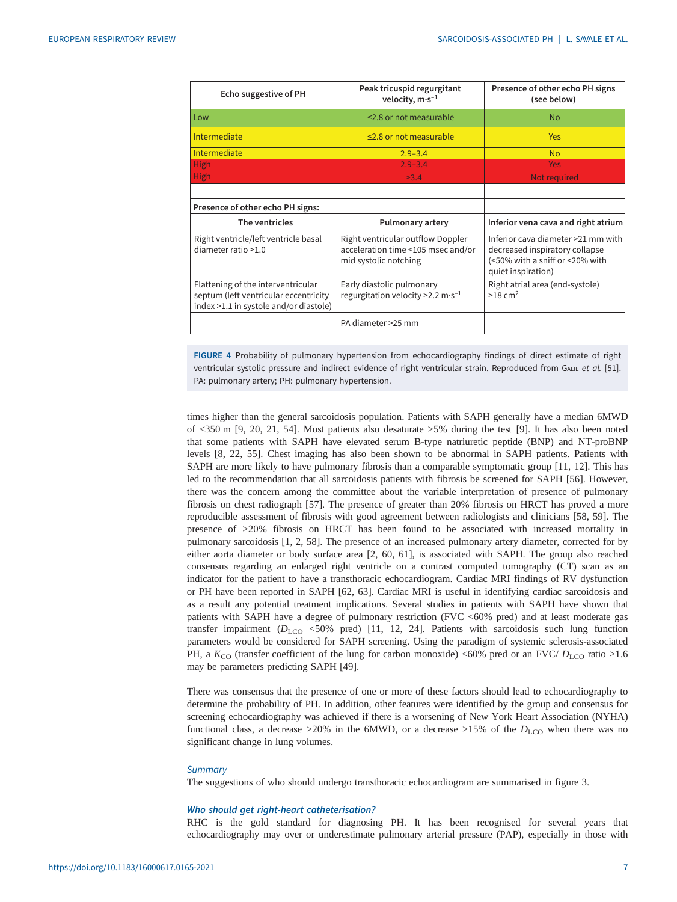<span id="page-8-0"></span>

| Echo suggestive of PH                                                                                                 | Peak tricuspid regurgitant<br>velocity, $m·s^{-1}$                                               | Presence of other echo PH signs<br>(see below)                                                                                |
|-----------------------------------------------------------------------------------------------------------------------|--------------------------------------------------------------------------------------------------|-------------------------------------------------------------------------------------------------------------------------------|
| Low                                                                                                                   | $\leq$ 2.8 or not measurable                                                                     | <b>No</b>                                                                                                                     |
| Intermediate                                                                                                          | $\leq$ 2.8 or not measurable                                                                     | Yes                                                                                                                           |
| Intermediate                                                                                                          | $2.9 - 3.4$                                                                                      | <b>No</b>                                                                                                                     |
| High                                                                                                                  | $2.9 - 3.4$                                                                                      | <b>Yes</b>                                                                                                                    |
| High.                                                                                                                 | >3.4                                                                                             | Not required                                                                                                                  |
|                                                                                                                       |                                                                                                  |                                                                                                                               |
| Presence of other echo PH signs:                                                                                      |                                                                                                  |                                                                                                                               |
| The ventricles                                                                                                        | <b>Pulmonary artery</b>                                                                          | Inferior vena cava and right atrium                                                                                           |
| Right ventricle/left ventricle basal<br>diameter ratio >1.0                                                           | Right ventricular outflow Doppler<br>acceleration time <105 msec and/or<br>mid systolic notching | Inferior cava diameter >21 mm with<br>decreased inspiratory collapse<br>(<50% with a sniff or <20% with<br>quiet inspiration) |
| Flattening of the interventricular<br>septum (left ventricular eccentricity<br>index >1.1 in systole and/or diastole) | Early diastolic pulmonary<br>regurgitation velocity > 2.2 m·s <sup>-1</sup>                      | Right atrial area (end-systole)<br>$>18$ cm <sup>2</sup>                                                                      |
|                                                                                                                       | PA diameter >25 mm                                                                               |                                                                                                                               |

FIGURE 4 Probability of pulmonary hypertension from echocardiography findings of direct estimate of right ventricular systolic pressure and indirect evidence of right ventricular strain. Reproduced from GALIE et al. [[51](#page-17-0)]. PA: pulmonary artery; PH: pulmonary hypertension.

times higher than the general sarcoidosis population. Patients with SAPH generally have a median 6MWD of <350 m [[9](#page-15-0), [20, 21,](#page-16-0) [54](#page-17-0)]. Most patients also desaturate >5% during the test [\[9\]](#page-15-0). It has also been noted that some patients with SAPH have elevated serum B-type natriuretic peptide (BNP) and NT-proBNP levels [[8](#page-15-0), [22](#page-16-0), [55](#page-17-0)]. Chest imaging has also been shown to be abnormal in SAPH patients. Patients with SAPH are more likely to have pulmonary fibrosis than a comparable symptomatic group [\[11](#page-15-0), [12](#page-15-0)]. This has led to the recommendation that all sarcoidosis patients with fibrosis be screened for SAPH [\[56](#page-17-0)]. However, there was the concern among the committee about the variable interpretation of presence of pulmonary fibrosis on chest radiograph [[57\]](#page-17-0). The presence of greater than 20% fibrosis on HRCT has proved a more reproducible assessment of fibrosis with good agreement between radiologists and clinicians [\[58](#page-17-0), [59\]](#page-17-0). The presence of >20% fibrosis on HRCT has been found to be associated with increased mortality in pulmonary sarcoidosis [[1](#page-15-0), [2,](#page-15-0) [58\]](#page-17-0). The presence of an increased pulmonary artery diameter, corrected for by either aorta diameter or body surface area [[2](#page-15-0), [60](#page-17-0), [61\]](#page-17-0), is associated with SAPH. The group also reached consensus regarding an enlarged right ventricle on a contrast computed tomography (CT) scan as an indicator for the patient to have a transthoracic echocardiogram. Cardiac MRI findings of RV dysfunction or PH have been reported in SAPH [[62, 63\]](#page-17-0). Cardiac MRI is useful in identifying cardiac sarcoidosis and as a result any potential treatment implications. Several studies in patients with SAPH have shown that patients with SAPH have a degree of pulmonary restriction (FVC <60% pred) and at least moderate gas transfer impairment  $(D_{\text{LCO}}$  <50% pred) [\[11](#page-15-0), [12](#page-15-0), [24](#page-16-0)]. Patients with sarcoidosis such lung function parameters would be considered for SAPH screening. Using the paradigm of systemic sclerosis-associated PH, a  $K_{\rm CO}$  (transfer coefficient of the lung for carbon monoxide) <60% pred or an FVC/  $D_{\rm LCO}$  ratio >1.6 may be parameters predicting SAPH [[49\]](#page-17-0).

There was consensus that the presence of one or more of these factors should lead to echocardiography to determine the probability of PH. In addition, other features were identified by the group and consensus for screening echocardiography was achieved if there is a worsening of New York Heart Association (NYHA) functional class, a decrease >20% in the 6MWD, or a decrease >15% of the  $D_{\text{LCO}}$  when there was no significant change in lung volumes.

#### **Summary**

The suggestions of who should undergo transthoracic echocardiogram are summarised in [figure 3.](#page-7-0)

#### Who should get right-heart catheterisation?

RHC is the gold standard for diagnosing PH. It has been recognised for several years that echocardiography may over or underestimate pulmonary arterial pressure (PAP), especially in those with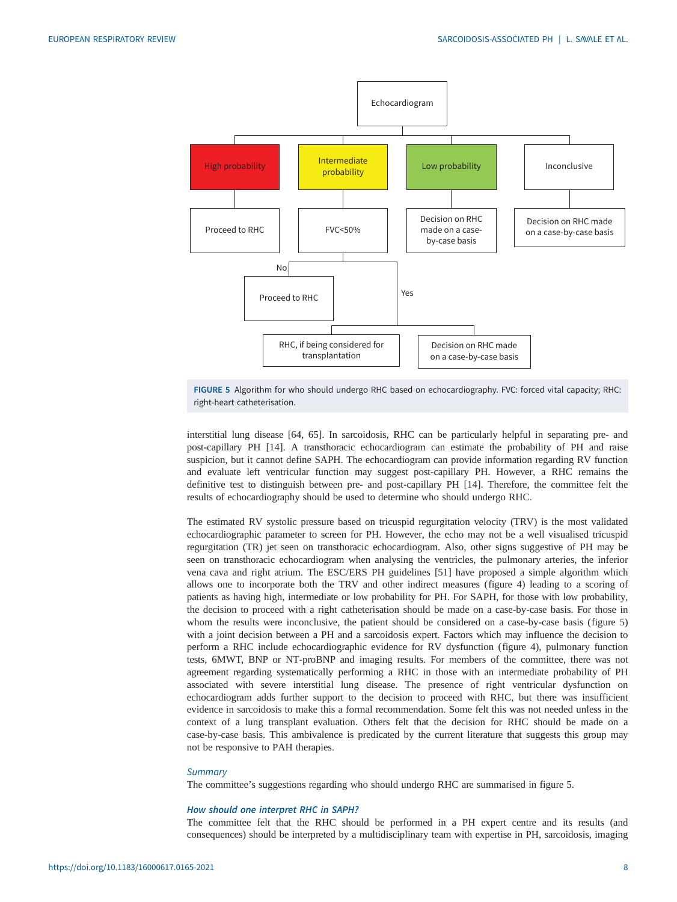<span id="page-9-0"></span>



interstitial lung disease [\[64](#page-17-0), [65](#page-17-0)]. In sarcoidosis, RHC can be particularly helpful in separating pre- and post-capillary PH [\[14](#page-15-0)]. A transthoracic echocardiogram can estimate the probability of PH and raise suspicion, but it cannot define SAPH. The echocardiogram can provide information regarding RV function and evaluate left ventricular function may suggest post-capillary PH. However, a RHC remains the definitive test to distinguish between pre- and post-capillary PH [\[14](#page-15-0)]. Therefore, the committee felt the results of echocardiography should be used to determine who should undergo RHC.

The estimated RV systolic pressure based on tricuspid regurgitation velocity (TRV) is the most validated echocardiographic parameter to screen for PH. However, the echo may not be a well visualised tricuspid regurgitation (TR) jet seen on transthoracic echocardiogram. Also, other signs suggestive of PH may be seen on transthoracic echocardiogram when analysing the ventricles, the pulmonary arteries, the inferior vena cava and right atrium. The ESC/ERS PH guidelines [\[51](#page-17-0)] have proposed a simple algorithm which allows one to incorporate both the TRV and other indirect measures [\(figure 4](#page-8-0)) leading to a scoring of patients as having high, intermediate or low probability for PH. For SAPH, for those with low probability, the decision to proceed with a right catheterisation should be made on a case-by-case basis. For those in whom the results were inconclusive, the patient should be considered on a case-by-case basis (figure 5) with a joint decision between a PH and a sarcoidosis expert. Factors which may influence the decision to perform a RHC include echocardiographic evidence for RV dysfunction [\(figure 4](#page-8-0)), pulmonary function tests, 6MWT, BNP or NT-proBNP and imaging results. For members of the committee, there was not agreement regarding systematically performing a RHC in those with an intermediate probability of PH associated with severe interstitial lung disease. The presence of right ventricular dysfunction on echocardiogram adds further support to the decision to proceed with RHC, but there was insufficient evidence in sarcoidosis to make this a formal recommendation. Some felt this was not needed unless in the context of a lung transplant evaluation. Others felt that the decision for RHC should be made on a case-by-case basis. This ambivalence is predicated by the current literature that suggests this group may not be responsive to PAH therapies.

#### **Summary**

The committee's suggestions regarding who should undergo RHC are summarised in figure 5.

#### How should one interpret RHC in SAPH?

The committee felt that the RHC should be performed in a PH expert centre and its results (and consequences) should be interpreted by a multidisciplinary team with expertise in PH, sarcoidosis, imaging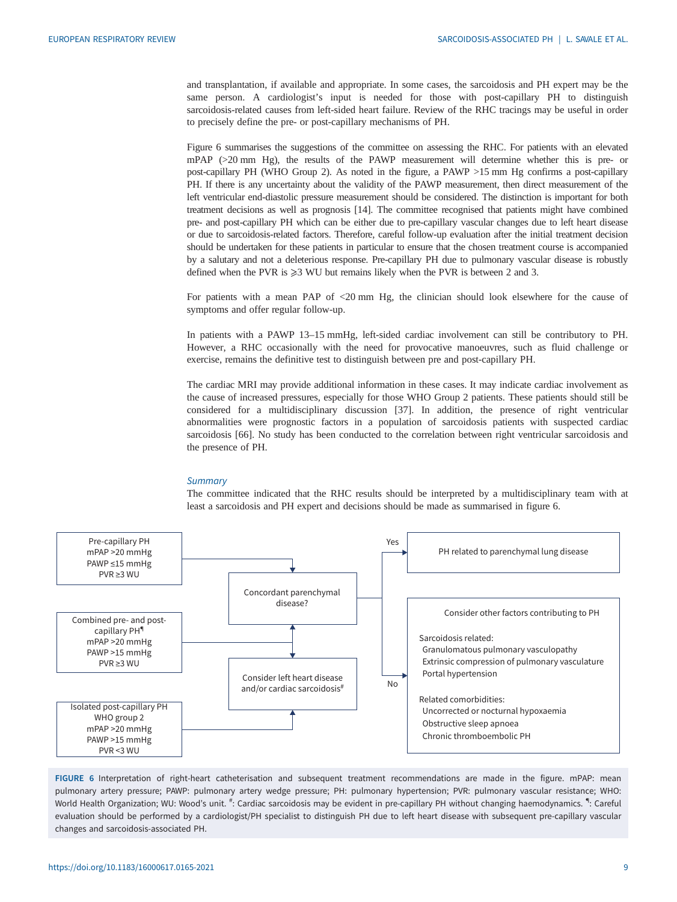<span id="page-10-0"></span>and transplantation, if available and appropriate. In some cases, the sarcoidosis and PH expert may be the same person. A cardiologist's input is needed for those with post-capillary PH to distinguish sarcoidosis-related causes from left-sided heart failure. Review of the RHC tracings may be useful in order to precisely define the pre- or post-capillary mechanisms of PH.

Figure 6 summarises the suggestions of the committee on assessing the RHC. For patients with an elevated mPAP (>20 mm Hg), the results of the PAWP measurement will determine whether this is pre- or post-capillary PH (WHO Group 2). As noted in the figure, a PAWP >15 mm Hg confirms a post-capillary PH. If there is any uncertainty about the validity of the PAWP measurement, then direct measurement of the left ventricular end-diastolic pressure measurement should be considered. The distinction is important for both treatment decisions as well as prognosis [[14](#page-15-0)]. The committee recognised that patients might have combined pre- and post-capillary PH which can be either due to pre-capillary vascular changes due to left heart disease or due to sarcoidosis-related factors. Therefore, careful follow-up evaluation after the initial treatment decision should be undertaken for these patients in particular to ensure that the chosen treatment course is accompanied by a salutary and not a deleterious response. Pre-capillary PH due to pulmonary vascular disease is robustly defined when the PVR is  $\geq 3$  WU but remains likely when the PVR is between 2 and 3.

For patients with a mean PAP of <20 mm Hg, the clinician should look elsewhere for the cause of symptoms and offer regular follow-up.

In patients with a PAWP 13–15 mmHg, left-sided cardiac involvement can still be contributory to PH. However, a RHC occasionally with the need for provocative manoeuvres, such as fluid challenge or exercise, remains the definitive test to distinguish between pre and post-capillary PH.

The cardiac MRI may provide additional information in these cases. It may indicate cardiac involvement as the cause of increased pressures, especially for those WHO Group 2 patients. These patients should still be considered for a multidisciplinary discussion [\[37](#page-16-0)]. In addition, the presence of right ventricular abnormalities were prognostic factors in a population of sarcoidosis patients with suspected cardiac sarcoidosis [[66\]](#page-17-0). No study has been conducted to the correlation between right ventricular sarcoidosis and the presence of PH.

#### **Summary**

The committee indicated that the RHC results should be interpreted by a multidisciplinary team with at least a sarcoidosis and PH expert and decisions should be made as summarised in figure 6.



FIGURE 6 Interpretation of right-heart catheterisation and subsequent treatment recommendations are made in the figure. mPAP: mean pulmonary artery pressure; PAWP: pulmonary artery wedge pressure; PH: pulmonary hypertension; PVR: pulmonary vascular resistance; WHO: World Health Organization; WU: Wood's unit. #: Cardiac sarcoidosis may be evident in pre-capillary PH without changing haemodynamics. "I: Careful evaluation should be performed by a cardiologist/PH specialist to distinguish PH due to left heart disease with subsequent pre-capillary vascular changes and sarcoidosis-associated PH.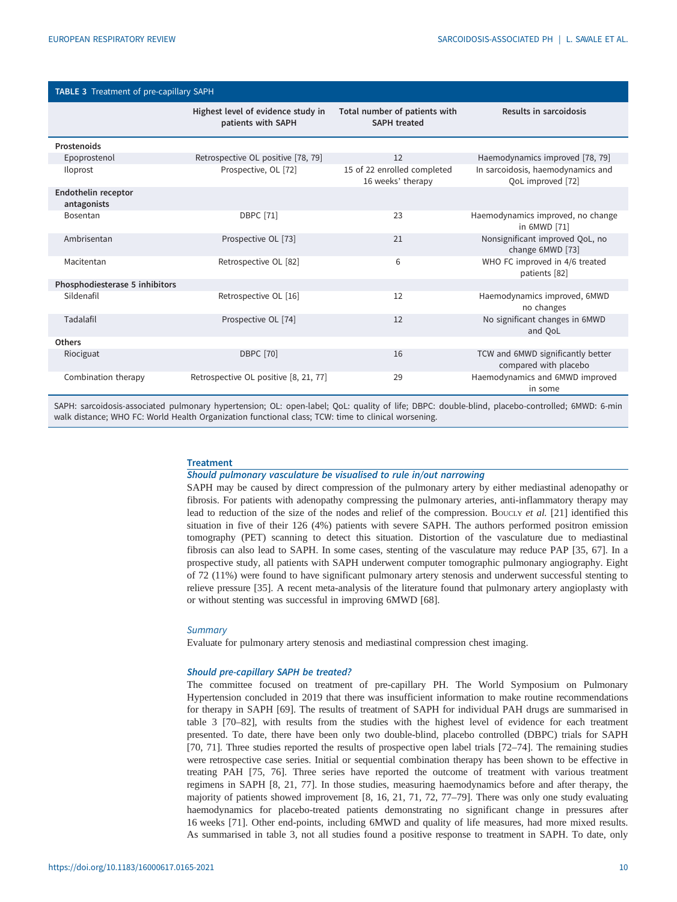| <b>TABLE 3</b> Treatment of pre-capillary SAPH |                                                          |                                                      |                                                            |
|------------------------------------------------|----------------------------------------------------------|------------------------------------------------------|------------------------------------------------------------|
|                                                | Highest level of evidence study in<br>patients with SAPH | Total number of patients with<br><b>SAPH treated</b> | Results in sarcoidosis                                     |
| Prostenoids                                    |                                                          |                                                      |                                                            |
| Epoprostenol                                   | Retrospective OL positive [78, 79]                       | 12                                                   | Haemodynamics improved [78, 79]                            |
| Iloprost                                       | Prospective, OL [72]                                     | 15 of 22 enrolled completed<br>16 weeks' therapy     | In sarcoidosis, haemodynamics and<br>QoL improved [72]     |
| Endothelin receptor<br>antagonists             |                                                          |                                                      |                                                            |
| Bosentan                                       | <b>DBPC</b> [71]                                         | 23                                                   | Haemodynamics improved, no change<br>in 6MWD [71]          |
| Ambrisentan                                    | Prospective OL [73]                                      | 21                                                   | Nonsignificant improved QoL, no<br>change 6MWD [73]        |
| Macitentan                                     | Retrospective OL [82]                                    | 6                                                    | WHO FC improved in 4/6 treated<br>patients [82]            |
| Phosphodiesterase 5 inhibitors                 |                                                          |                                                      |                                                            |
| Sildenafil                                     | Retrospective OL [16]                                    | 12                                                   | Haemodynamics improved, 6MWD<br>no changes                 |
| Tadalafil                                      | Prospective OL [74]                                      | 12                                                   | No significant changes in 6MWD<br>and QoL                  |
| <b>Others</b>                                  |                                                          |                                                      |                                                            |
| Riociguat                                      | <b>DBPC</b> [70]                                         | 16                                                   | TCW and 6MWD significantly better<br>compared with placebo |
| Combination therapy                            | Retrospective OL positive [8, 21, 77]                    | 29                                                   | Haemodynamics and 6MWD improved<br>in some                 |

SAPH: sarcoidosis-associated pulmonary hypertension; OL: open-label; QoL: quality of life; DBPC: double-blind, placebo-controlled; 6MWD: 6-min walk distance; WHO FC: World Health Organization functional class; TCW: time to clinical worsening.

#### **Treatment**

## Should pulmonary vasculature be visualised to rule in/out narrowing

SAPH may be caused by direct compression of the pulmonary artery by either mediastinal adenopathy or fibrosis. For patients with adenopathy compressing the pulmonary arteries, anti-inflammatory therapy may lead to reduction of the size of the nodes and relief of the compression. Boucly et al. [[21\]](#page-16-0) identified this situation in five of their 126 (4%) patients with severe SAPH. The authors performed positron emission tomography (PET) scanning to detect this situation. Distortion of the vasculature due to mediastinal fibrosis can also lead to SAPH. In some cases, stenting of the vasculature may reduce PAP [\[35,](#page-16-0) [67\]](#page-17-0). In a prospective study, all patients with SAPH underwent computer tomographic pulmonary angiography. Eight of 72 (11%) were found to have significant pulmonary artery stenosis and underwent successful stenting to relieve pressure [\[35](#page-16-0)]. A recent meta-analysis of the literature found that pulmonary artery angioplasty with or without stenting was successful in improving 6MWD [[68\]](#page-17-0).

#### **Summary**

Evaluate for pulmonary artery stenosis and mediastinal compression chest imaging.

#### Should pre-capillary SAPH be treated?

The committee focused on treatment of pre-capillary PH. The World Symposium on Pulmonary Hypertension concluded in 2019 that there was insufficient information to make routine recommendations for therapy in SAPH [\[69](#page-17-0)]. The results of treatment of SAPH for individual PAH drugs are summarised in table 3 [[70](#page-17-0)–[82](#page-18-0)], with results from the studies with the highest level of evidence for each treatment presented. To date, there have been only two double-blind, placebo controlled (DBPC) trials for SAPH [\[70](#page-17-0), [71\]](#page-17-0). Three studies reported the results of prospective open label trials [[72](#page-17-0)–[74](#page-18-0)]. The remaining studies were retrospective case series. Initial or sequential combination therapy has been shown to be effective in treating PAH [\[75](#page-18-0), [76](#page-18-0)]. Three series have reported the outcome of treatment with various treatment regimens in SAPH [\[8,](#page-15-0) [21](#page-16-0), [77\]](#page-18-0). In those studies, measuring haemodynamics before and after therapy, the majority of patients showed improvement [[8](#page-15-0), [16](#page-15-0), [21,](#page-16-0) [71, 72](#page-17-0), [77](#page-18-0)–[79\]](#page-18-0). There was only one study evaluating haemodynamics for placebo-treated patients demonstrating no significant change in pressures after 16 weeks [\[71](#page-17-0)]. Other end-points, including 6MWD and quality of life measures, had more mixed results. As summarised in table 3, not all studies found a positive response to treatment in SAPH. To date, only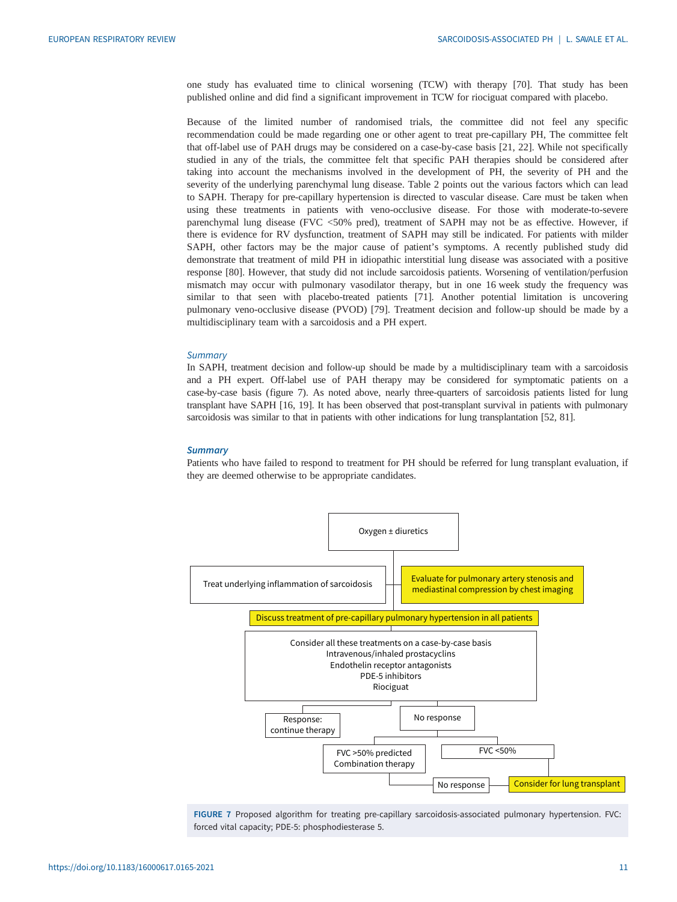<span id="page-12-0"></span>one study has evaluated time to clinical worsening (TCW) with therapy [\[70](#page-17-0)]. That study has been published online and did find a significant improvement in TCW for riociguat compared with placebo.

Because of the limited number of randomised trials, the committee did not feel any specific recommendation could be made regarding one or other agent to treat pre-capillary PH, The committee felt that off-label use of PAH drugs may be considered on a case-by-case basis [\[21](#page-16-0), [22](#page-16-0)]. While not specifically studied in any of the trials, the committee felt that specific PAH therapies should be considered after taking into account the mechanisms involved in the development of PH, the severity of PH and the severity of the underlying parenchymal lung disease. [Table 2](#page-6-0) points out the various factors which can lead to SAPH. Therapy for pre-capillary hypertension is directed to vascular disease. Care must be taken when using these treatments in patients with veno-occlusive disease. For those with moderate-to-severe parenchymal lung disease (FVC <50% pred), treatment of SAPH may not be as effective. However, if there is evidence for RV dysfunction, treatment of SAPH may still be indicated. For patients with milder SAPH, other factors may be the major cause of patient's symptoms. A recently published study did demonstrate that treatment of mild PH in idiopathic interstitial lung disease was associated with a positive response [\[80](#page-18-0)]. However, that study did not include sarcoidosis patients. Worsening of ventilation/perfusion mismatch may occur with pulmonary vasodilator therapy, but in one 16 week study the frequency was similar to that seen with placebo-treated patients [[71\]](#page-17-0). Another potential limitation is uncovering pulmonary veno-occlusive disease (PVOD) [\[79](#page-18-0)]. Treatment decision and follow-up should be made by a multidisciplinary team with a sarcoidosis and a PH expert.

#### **Summary**

In SAPH, treatment decision and follow-up should be made by a multidisciplinary team with a sarcoidosis and a PH expert. Off-label use of PAH therapy may be considered for symptomatic patients on a case-by-case basis (figure 7). As noted above, nearly three-quarters of sarcoidosis patients listed for lung transplant have SAPH [[16,](#page-15-0) [19\]](#page-16-0). It has been observed that post-transplant survival in patients with pulmonary sarcoidosis was similar to that in patients with other indications for lung transplantation [\[52,](#page-17-0) [81](#page-18-0)].

#### **Summary**

Patients who have failed to respond to treatment for PH should be referred for lung transplant evaluation, if they are deemed otherwise to be appropriate candidates.



FIGURE 7 Proposed algorithm for treating pre-capillary sarcoidosis-associated pulmonary hypertension. FVC: forced vital capacity; PDE-5: phosphodiesterase 5.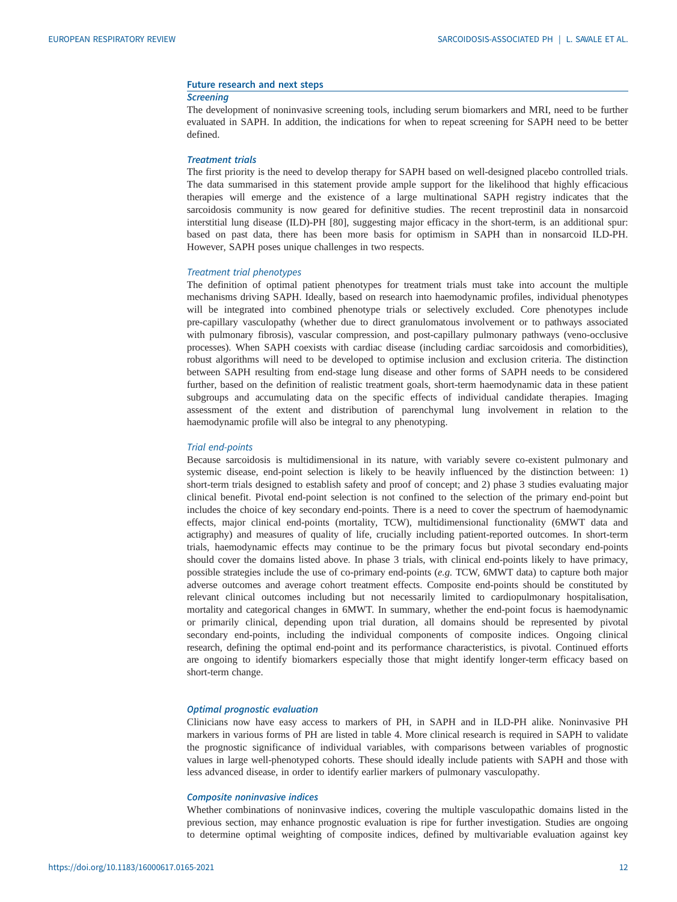#### Future research and next steps

#### **Screening**

The development of noninvasive screening tools, including serum biomarkers and MRI, need to be further evaluated in SAPH. In addition, the indications for when to repeat screening for SAPH need to be better defined.

### Treatment trials

The first priority is the need to develop therapy for SAPH based on well-designed placebo controlled trials. The data summarised in this statement provide ample support for the likelihood that highly efficacious therapies will emerge and the existence of a large multinational SAPH registry indicates that the sarcoidosis community is now geared for definitive studies. The recent treprostinil data in nonsarcoid interstitial lung disease (ILD)-PH [\[80](#page-18-0)], suggesting major efficacy in the short-term, is an additional spur: based on past data, there has been more basis for optimism in SAPH than in nonsarcoid ILD-PH. However, SAPH poses unique challenges in two respects.

#### Treatment trial phenotypes

The definition of optimal patient phenotypes for treatment trials must take into account the multiple mechanisms driving SAPH. Ideally, based on research into haemodynamic profiles, individual phenotypes will be integrated into combined phenotype trials or selectively excluded. Core phenotypes include pre-capillary vasculopathy (whether due to direct granulomatous involvement or to pathways associated with pulmonary fibrosis), vascular compression, and post-capillary pulmonary pathways (veno-occlusive processes). When SAPH coexists with cardiac disease (including cardiac sarcoidosis and comorbidities), robust algorithms will need to be developed to optimise inclusion and exclusion criteria. The distinction between SAPH resulting from end-stage lung disease and other forms of SAPH needs to be considered further, based on the definition of realistic treatment goals, short-term haemodynamic data in these patient subgroups and accumulating data on the specific effects of individual candidate therapies. Imaging assessment of the extent and distribution of parenchymal lung involvement in relation to the haemodynamic profile will also be integral to any phenotyping.

#### Trial end-points

Because sarcoidosis is multidimensional in its nature, with variably severe co-existent pulmonary and systemic disease, end-point selection is likely to be heavily influenced by the distinction between: 1) short-term trials designed to establish safety and proof of concept; and 2) phase 3 studies evaluating major clinical benefit. Pivotal end-point selection is not confined to the selection of the primary end-point but includes the choice of key secondary end-points. There is a need to cover the spectrum of haemodynamic effects, major clinical end-points (mortality, TCW), multidimensional functionality (6MWT data and actigraphy) and measures of quality of life, crucially including patient-reported outcomes. In short-term trials, haemodynamic effects may continue to be the primary focus but pivotal secondary end-points should cover the domains listed above. In phase 3 trials, with clinical end-points likely to have primacy, possible strategies include the use of co-primary end-points (e.g. TCW, 6MWT data) to capture both major adverse outcomes and average cohort treatment effects. Composite end-points should be constituted by relevant clinical outcomes including but not necessarily limited to cardiopulmonary hospitalisation, mortality and categorical changes in 6MWT. In summary, whether the end-point focus is haemodynamic or primarily clinical, depending upon trial duration, all domains should be represented by pivotal secondary end-points, including the individual components of composite indices. Ongoing clinical research, defining the optimal end-point and its performance characteristics, is pivotal. Continued efforts are ongoing to identify biomarkers especially those that might identify longer-term efficacy based on short-term change.

## Optimal prognostic evaluation

Clinicians now have easy access to markers of PH, in SAPH and in ILD-PH alike. Noninvasive PH markers in various forms of PH are listed in [table 4.](#page-14-0) More clinical research is required in SAPH to validate the prognostic significance of individual variables, with comparisons between variables of prognostic values in large well-phenotyped cohorts. These should ideally include patients with SAPH and those with less advanced disease, in order to identify earlier markers of pulmonary vasculopathy.

#### Composite noninvasive indices

Whether combinations of noninvasive indices, covering the multiple vasculopathic domains listed in the previous section, may enhance prognostic evaluation is ripe for further investigation. Studies are ongoing to determine optimal weighting of composite indices, defined by multivariable evaluation against key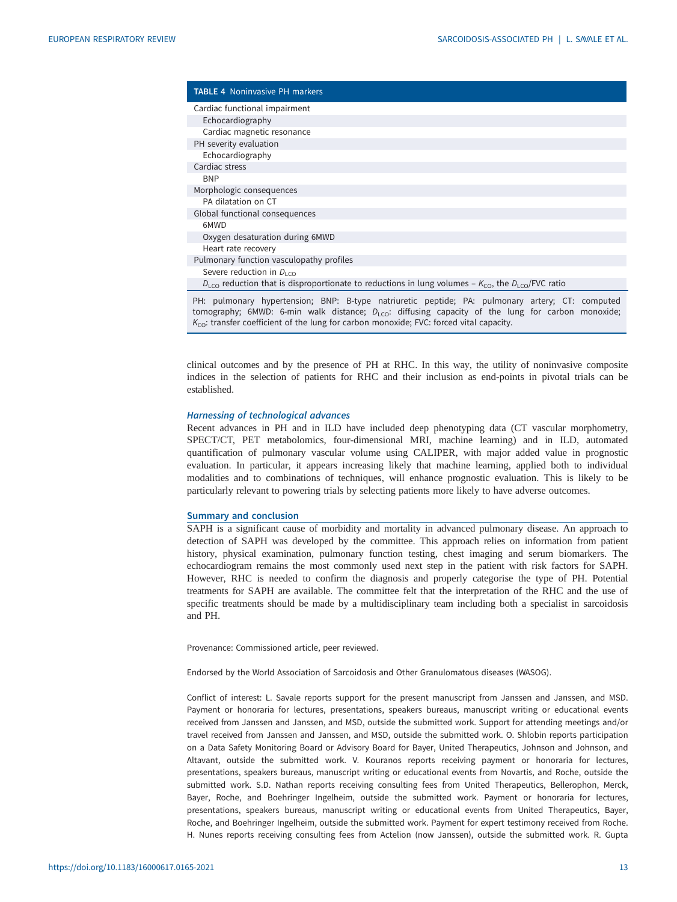<span id="page-14-0"></span>

| <b>TABLE 4</b> Noninvasive PH markers                                                                                                 |
|---------------------------------------------------------------------------------------------------------------------------------------|
| Cardiac functional impairment                                                                                                         |
| Echocardiography                                                                                                                      |
| Cardiac magnetic resonance                                                                                                            |
| PH severity evaluation                                                                                                                |
| Echocardiography                                                                                                                      |
| Cardiac stress                                                                                                                        |
| <b>BNP</b>                                                                                                                            |
| Morphologic consequences                                                                                                              |
| PA dilatation on CT                                                                                                                   |
| Global functional consequences                                                                                                        |
| 6MWD                                                                                                                                  |
| Oxygen desaturation during 6MWD                                                                                                       |
| Heart rate recovery                                                                                                                   |
| Pulmonary function vasculopathy profiles                                                                                              |
| Severe reduction in $D_{1,0}$                                                                                                         |
| $D_{\text{LCO}}$ reduction that is disproportionate to reductions in lung volumes – $K_{\text{CO}}$ , the $D_{\text{LCO}}$ /FVC ratio |
| PH: nulmonary hypertension: RNP: R-type natriuretic pentide: PA: nulmonary artery: CT: computed                                       |

PH: pulmonary hypertension; BNP: B-type natriuretic peptide; PA: pulmonary artery; CT: computed tomography; 6MWD: 6-min walk distance;  $D_{\text{LCO}}$ : diffusing capacity of the lung for carbon monoxide;  $K_{\text{CO}}$ : transfer coefficient of the lung for carbon monoxide; FVC: forced vital capacity.

clinical outcomes and by the presence of PH at RHC. In this way, the utility of noninvasive composite indices in the selection of patients for RHC and their inclusion as end-points in pivotal trials can be established.

## Harnessing of technological advances

Recent advances in PH and in ILD have included deep phenotyping data (CT vascular morphometry, SPECT/CT, PET metabolomics, four-dimensional MRI, machine learning) and in ILD, automated quantification of pulmonary vascular volume using CALIPER, with major added value in prognostic evaluation. In particular, it appears increasing likely that machine learning, applied both to individual modalities and to combinations of techniques, will enhance prognostic evaluation. This is likely to be particularly relevant to powering trials by selecting patients more likely to have adverse outcomes.

#### Summary and conclusion

SAPH is a significant cause of morbidity and mortality in advanced pulmonary disease. An approach to detection of SAPH was developed by the committee. This approach relies on information from patient history, physical examination, pulmonary function testing, chest imaging and serum biomarkers. The echocardiogram remains the most commonly used next step in the patient with risk factors for SAPH. However, RHC is needed to confirm the diagnosis and properly categorise the type of PH. Potential treatments for SAPH are available. The committee felt that the interpretation of the RHC and the use of specific treatments should be made by a multidisciplinary team including both a specialist in sarcoidosis and PH.

Provenance: Commissioned article, peer reviewed.

Endorsed by the World Association of Sarcoidosis and Other Granulomatous diseases (WASOG).

Conflict of interest: L. Savale reports support for the present manuscript from Janssen and Janssen, and MSD. Payment or honoraria for lectures, presentations, speakers bureaus, manuscript writing or educational events received from Janssen and Janssen, and MSD, outside the submitted work. Support for attending meetings and/or travel received from Janssen and Janssen, and MSD, outside the submitted work. O. Shlobin reports participation on a Data Safety Monitoring Board or Advisory Board for Bayer, United Therapeutics, Johnson and Johnson, and Altavant, outside the submitted work. V. Kouranos reports receiving payment or honoraria for lectures, presentations, speakers bureaus, manuscript writing or educational events from Novartis, and Roche, outside the submitted work. S.D. Nathan reports receiving consulting fees from United Therapeutics, Bellerophon, Merck, Bayer, Roche, and Boehringer Ingelheim, outside the submitted work. Payment or honoraria for lectures, presentations, speakers bureaus, manuscript writing or educational events from United Therapeutics, Bayer, Roche, and Boehringer Ingelheim, outside the submitted work. Payment for expert testimony received from Roche. H. Nunes reports receiving consulting fees from Actelion (now Janssen), outside the submitted work. R. Gupta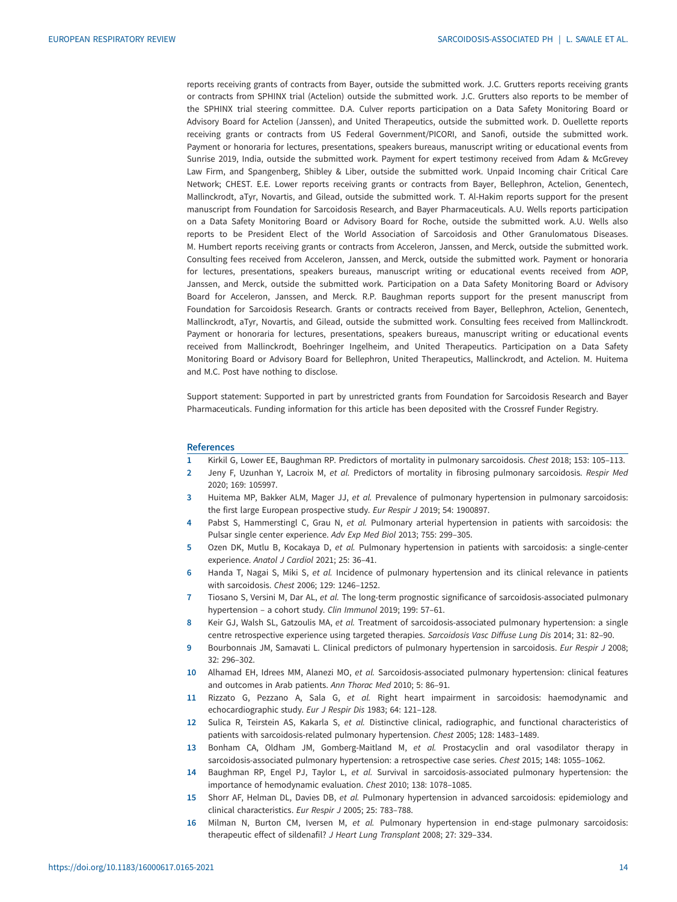<span id="page-15-0"></span>reports receiving grants of contracts from Bayer, outside the submitted work. J.C. Grutters reports receiving grants or contracts from SPHINX trial (Actelion) outside the submitted work. J.C. Grutters also reports to be member of the SPHINX trial steering committee. D.A. Culver reports participation on a Data Safety Monitoring Board or Advisory Board for Actelion (Janssen), and United Therapeutics, outside the submitted work. D. Ouellette reports receiving grants or contracts from US Federal Government/PICORI, and Sanofi, outside the submitted work. Payment or honoraria for lectures, presentations, speakers bureaus, manuscript writing or educational events from Sunrise 2019, India, outside the submitted work. Payment for expert testimony received from Adam & McGrevey Law Firm, and Spangenberg, Shibley & Liber, outside the submitted work. Unpaid Incoming chair Critical Care Network; CHEST. E.E. Lower reports receiving grants or contracts from Bayer, Bellephron, Actelion, Genentech, Mallinckrodt, aTyr, Novartis, and Gilead, outside the submitted work. T. Al-Hakim reports support for the present manuscript from Foundation for Sarcoidosis Research, and Bayer Pharmaceuticals. A.U. Wells reports participation on a Data Safety Monitoring Board or Advisory Board for Roche, outside the submitted work. A.U. Wells also reports to be President Elect of the World Association of Sarcoidosis and Other Granulomatous Diseases. M. Humbert reports receiving grants or contracts from Acceleron, Janssen, and Merck, outside the submitted work. Consulting fees received from Acceleron, Janssen, and Merck, outside the submitted work. Payment or honoraria for lectures, presentations, speakers bureaus, manuscript writing or educational events received from AOP, Janssen, and Merck, outside the submitted work. Participation on a Data Safety Monitoring Board or Advisory Board for Acceleron, Janssen, and Merck. R.P. Baughman reports support for the present manuscript from Foundation for Sarcoidosis Research. Grants or contracts received from Bayer, Bellephron, Actelion, Genentech, Mallinckrodt, aTyr, Novartis, and Gilead, outside the submitted work. Consulting fees received from Mallinckrodt. Payment or honoraria for lectures, presentations, speakers bureaus, manuscript writing or educational events received from Mallinckrodt, Boehringer Ingelheim, and United Therapeutics. Participation on a Data Safety Monitoring Board or Advisory Board for Bellephron, United Therapeutics, Mallinckrodt, and Actelion. M. Huitema and M.C. Post have nothing to disclose.

Support statement: Supported in part by unrestricted grants from Foundation for Sarcoidosis Research and Bayer Pharmaceuticals. Funding information for this article has been deposited with the [Crossref Funder Registry.](https://www.crossref.org/services/funder-registry/)

#### References

- 1 Kirkil G, Lower EE, Baughman RP. Predictors of mortality in pulmonary sarcoidosis. Chest 2018; 153: 105–113.
- 2 Jeny F, Uzunhan Y, Lacroix M, et al. Predictors of mortality in fibrosing pulmonary sarcoidosis. Respir Med 2020; 169: 105997.
- 3 Huitema MP, Bakker ALM, Mager JJ, et al. Prevalence of pulmonary hypertension in pulmonary sarcoidosis: the first large European prospective study. Eur Respir J 2019; 54: 1900897.
- 4 Pabst S, Hammerstingl C, Grau N, et al. Pulmonary arterial hypertension in patients with sarcoidosis: the Pulsar single center experience. Adv Exp Med Biol 2013; 755: 299–305.
- 5 Ozen DK, Mutlu B, Kocakaya D, et al. Pulmonary hypertension in patients with sarcoidosis: a single-center experience. Anatol J Cardiol 2021; 25: 36–41.
- 6 Handa T, Nagai S, Miki S, et al. Incidence of pulmonary hypertension and its clinical relevance in patients with sarcoidosis. Chest 2006; 129: 1246–1252.
- 7 Tiosano S, Versini M, Dar AL, et al. The long-term prognostic significance of sarcoidosis-associated pulmonary hypertension – a cohort study. Clin Immunol 2019; 199: 57–61.
- 8 Keir GJ, Walsh SL, Gatzoulis MA, et al. Treatment of sarcoidosis-associated pulmonary hypertension: a single centre retrospective experience using targeted therapies. Sarcoidosis Vasc Diffuse Lung Dis 2014; 31: 82–90.
- 9 Bourbonnais JM, Samavati L. Clinical predictors of pulmonary hypertension in sarcoidosis. Eur Respir J 2008; 32: 296–302.
- 10 Alhamad EH, Idrees MM, Alanezi MO, et al. Sarcoidosis-associated pulmonary hypertension: clinical features and outcomes in Arab patients. Ann Thorac Med 2010; 5: 86–91.
- 11 Rizzato G, Pezzano A, Sala G, et al. Right heart impairment in sarcoidosis: haemodynamic and echocardiographic study. Eur J Respir Dis 1983; 64: 121–128.
- 12 Sulica R, Teirstein AS, Kakarla S, et al. Distinctive clinical, radiographic, and functional characteristics of patients with sarcoidosis-related pulmonary hypertension. Chest 2005; 128: 1483–1489.
- 13 Bonham CA, Oldham JM, Gomberg-Maitland M, et al. Prostacyclin and oral vasodilator therapy in sarcoidosis-associated pulmonary hypertension: a retrospective case series. Chest 2015; 148: 1055–1062.
- 14 Baughman RP, Engel PJ, Taylor L, et al. Survival in sarcoidosis-associated pulmonary hypertension: the importance of hemodynamic evaluation. Chest 2010; 138: 1078–1085.
- 15 Shorr AF, Helman DL, Davies DB, et al. Pulmonary hypertension in advanced sarcoidosis: epidemiology and clinical characteristics. Eur Respir J 2005; 25: 783–788.
- 16 Milman N, Burton CM, Iversen M, et al. Pulmonary hypertension in end-stage pulmonary sarcoidosis: therapeutic effect of sildenafil? J Heart Lung Transplant 2008; 27: 329–334.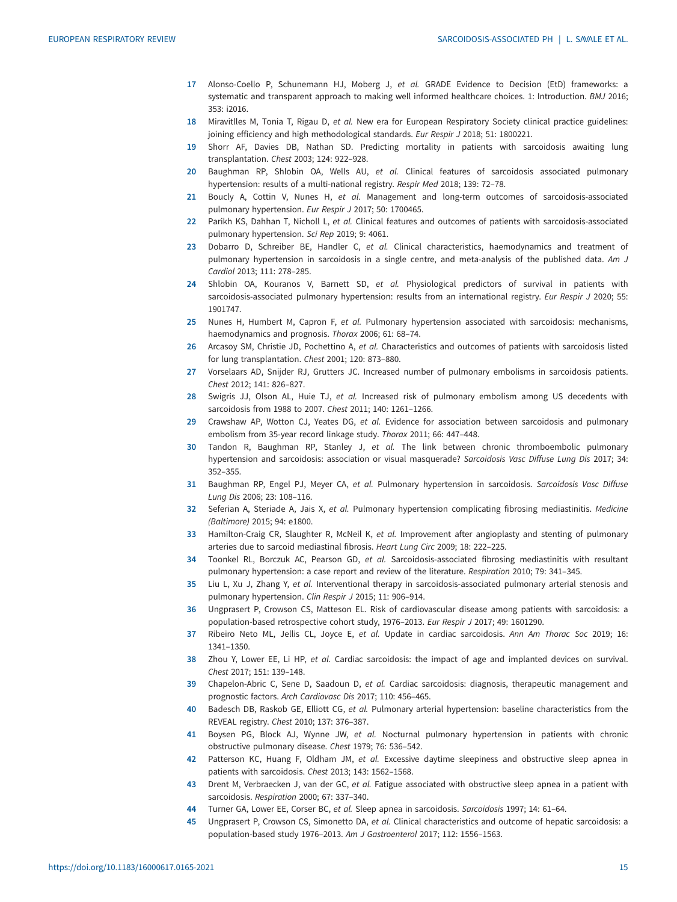- <span id="page-16-0"></span>17 Alonso-Coello P, Schunemann HJ, Moberg J, et al. GRADE Evidence to Decision (EtD) frameworks: a systematic and transparent approach to making well informed healthcare choices. 1: Introduction. BMJ 2016; 353: i2016.
- 18 Miravitlles M, Tonia T, Rigau D, et al. New era for European Respiratory Society clinical practice guidelines: joining efficiency and high methodological standards. Eur Respir J 2018; 51: 1800221.
- 19 Shorr AF, Davies DB, Nathan SD. Predicting mortality in patients with sarcoidosis awaiting lung transplantation. Chest 2003; 124: 922–928.
- 20 Baughman RP, Shlobin OA, Wells AU, et al. Clinical features of sarcoidosis associated pulmonary hypertension: results of a multi-national registry. Respir Med 2018; 139: 72–78.
- 21 Boucly A, Cottin V, Nunes H, et al. Management and long-term outcomes of sarcoidosis-associated pulmonary hypertension. Eur Respir J 2017; 50: 1700465.
- 22 Parikh KS, Dahhan T, Nicholl L, et al. Clinical features and outcomes of patients with sarcoidosis-associated pulmonary hypertension. Sci Rep 2019; 9: 4061.
- 23 Dobarro D, Schreiber BE, Handler C, et al. Clinical characteristics, haemodynamics and treatment of pulmonary hypertension in sarcoidosis in a single centre, and meta-analysis of the published data. Am J Cardiol 2013; 111: 278–285.
- 24 Shlobin OA, Kouranos V, Barnett SD, et al. Physiological predictors of survival in patients with sarcoidosis-associated pulmonary hypertension: results from an international registry. Eur Respir J 2020; 55: 1901747.
- 25 Nunes H, Humbert M, Capron F, et al. Pulmonary hypertension associated with sarcoidosis: mechanisms, haemodynamics and prognosis. Thorax 2006; 61: 68–74.
- 26 Arcasoy SM, Christie JD, Pochettino A, et al. Characteristics and outcomes of patients with sarcoidosis listed for lung transplantation. Chest 2001; 120: 873–880.
- 27 Vorselaars AD, Snijder RJ, Grutters JC. Increased number of pulmonary embolisms in sarcoidosis patients. Chest 2012; 141: 826–827.
- 28 Swigris JJ, Olson AL, Huie TJ, et al. Increased risk of pulmonary embolism among US decedents with sarcoidosis from 1988 to 2007. Chest 2011; 140: 1261–1266.
- 29 Crawshaw AP, Wotton CJ, Yeates DG, et al. Evidence for association between sarcoidosis and pulmonary embolism from 35-year record linkage study. Thorax 2011; 66: 447–448.
- 30 Tandon R, Baughman RP, Stanley J, et al. The link between chronic thromboembolic pulmonary hypertension and sarcoidosis: association or visual masquerade? Sarcoidosis Vasc Diffuse Lung Dis 2017; 34: 352–355.
- 31 Baughman RP, Engel PJ, Meyer CA, et al. Pulmonary hypertension in sarcoidosis. Sarcoidosis Vasc Diffuse Lung Dis 2006; 23: 108–116.
- 32 Seferian A, Steriade A, Jais X, et al. Pulmonary hypertension complicating fibrosing mediastinitis. Medicine (Baltimore) 2015; 94: e1800.
- 33 Hamilton-Craig CR, Slaughter R, McNeil K, et al. Improvement after angioplasty and stenting of pulmonary arteries due to sarcoid mediastinal fibrosis. Heart Lung Circ 2009; 18: 222–225.
- 34 Toonkel RL, Borczuk AC, Pearson GD, et al. Sarcoidosis-associated fibrosing mediastinitis with resultant pulmonary hypertension: a case report and review of the literature. Respiration 2010; 79: 341–345.
- 35 Liu L, Xu J, Zhang Y, et al. Interventional therapy in sarcoidosis-associated pulmonary arterial stenosis and pulmonary hypertension. Clin Respir J 2015; 11: 906–914.
- 36 Ungprasert P, Crowson CS, Matteson EL. Risk of cardiovascular disease among patients with sarcoidosis: a population-based retrospective cohort study, 1976–2013. Eur Respir J 2017; 49: 1601290.
- 37 Ribeiro Neto ML, Jellis CL, Joyce E, et al. Update in cardiac sarcoidosis. Ann Am Thorac Soc 2019; 16: 1341–1350.
- 38 Zhou Y, Lower EE, Li HP, et al. Cardiac sarcoidosis: the impact of age and implanted devices on survival. Chest 2017; 151: 139–148.
- 39 Chapelon-Abric C, Sene D, Saadoun D, et al. Cardiac sarcoidosis: diagnosis, therapeutic management and prognostic factors. Arch Cardiovasc Dis 2017; 110: 456–465.
- 40 Badesch DB, Raskob GE, Elliott CG, et al. Pulmonary arterial hypertension: baseline characteristics from the REVEAL registry. Chest 2010; 137: 376–387.
- 41 Boysen PG, Block AJ, Wynne JW, et al. Nocturnal pulmonary hypertension in patients with chronic obstructive pulmonary disease. Chest 1979; 76: 536–542.
- 42 Patterson KC, Huang F, Oldham JM, et al. Excessive daytime sleepiness and obstructive sleep apnea in patients with sarcoidosis. Chest 2013; 143: 1562–1568.
- 43 Drent M, Verbraecken J, van der GC, et al. Fatigue associated with obstructive sleep apnea in a patient with sarcoidosis. Respiration 2000; 67: 337–340.
- 44 Turner GA, Lower EE, Corser BC, et al. Sleep apnea in sarcoidosis. Sarcoidosis 1997; 14: 61-64.
- 45 Ungprasert P, Crowson CS, Simonetto DA, et al. Clinical characteristics and outcome of hepatic sarcoidosis: a population-based study 1976–2013. Am J Gastroenterol 2017; 112: 1556–1563.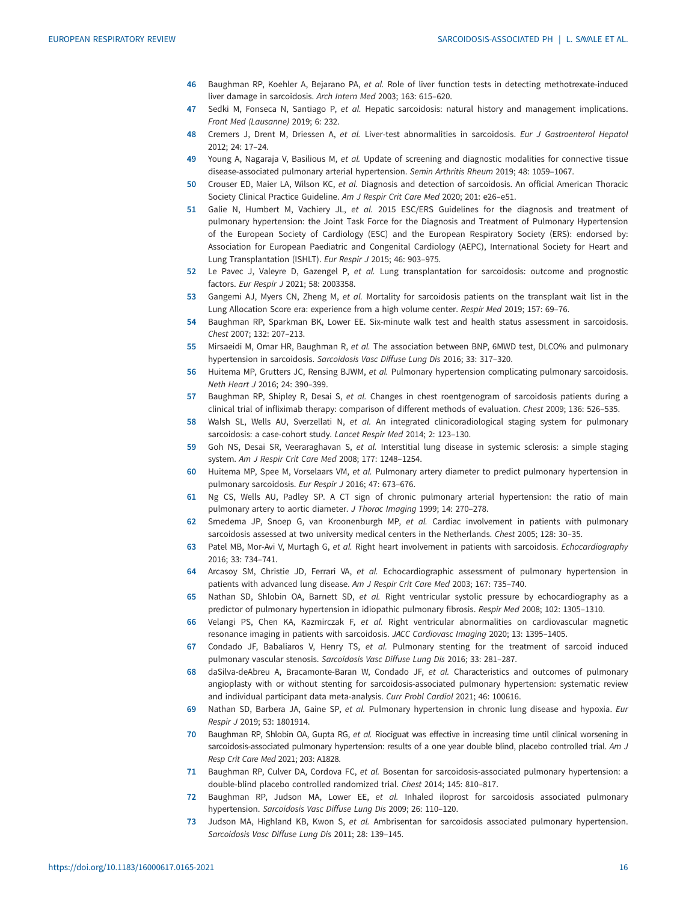- <span id="page-17-0"></span>46 Baughman RP, Koehler A, Bejarano PA, et al. Role of liver function tests in detecting methotrexate-induced liver damage in sarcoidosis. Arch Intern Med 2003; 163: 615–620.
- 47 Sedki M, Fonseca N, Santiago P, et al. Hepatic sarcoidosis: natural history and management implications. Front Med (Lausanne) 2019; 6: 232.
- 48 Cremers J, Drent M, Driessen A, et al. Liver-test abnormalities in sarcoidosis. Eur J Gastroenterol Hepatol 2012; 24: 17–24.
- 49 Young A, Nagaraja V, Basilious M, et al. Update of screening and diagnostic modalities for connective tissue disease-associated pulmonary arterial hypertension. Semin Arthritis Rheum 2019; 48: 1059–1067.
- 50 Crouser ED, Maier LA, Wilson KC, et al. Diagnosis and detection of sarcoidosis. An official American Thoracic Society Clinical Practice Guideline. Am J Respir Crit Care Med 2020; 201: e26–e51.
- 51 Galie N, Humbert M, Vachiery JL, et al. 2015 ESC/ERS Guidelines for the diagnosis and treatment of pulmonary hypertension: the Joint Task Force for the Diagnosis and Treatment of Pulmonary Hypertension of the European Society of Cardiology (ESC) and the European Respiratory Society (ERS): endorsed by: Association for European Paediatric and Congenital Cardiology (AEPC), International Society for Heart and Lung Transplantation (ISHLT). Eur Respir J 2015; 46: 903–975.
- 52 Le Pavec J, Valeyre D, Gazengel P, et al. Lung transplantation for sarcoidosis: outcome and prognostic factors. Eur Respir J 2021; 58: 2003358.
- 53 Gangemi AJ, Myers CN, Zheng M, et al. Mortality for sarcoidosis patients on the transplant wait list in the Lung Allocation Score era: experience from a high volume center. Respir Med 2019; 157: 69–76.
- 54 Baughman RP, Sparkman BK, Lower EE. Six-minute walk test and health status assessment in sarcoidosis. Chest 2007; 132: 207–213.
- 55 Mirsaeidi M, Omar HR, Baughman R, et al. The association between BNP, 6MWD test, DLCO% and pulmonary hypertension in sarcoidosis. Sarcoidosis Vasc Diffuse Lung Dis 2016; 33: 317–320.
- 56 Huitema MP, Grutters JC, Rensing BJWM, et al. Pulmonary hypertension complicating pulmonary sarcoidosis. Neth Heart J 2016; 24: 390–399.
- 57 Baughman RP, Shipley R, Desai S, et al. Changes in chest roentgenogram of sarcoidosis patients during a clinical trial of infliximab therapy: comparison of different methods of evaluation. Chest 2009; 136: 526–535.
- 58 Walsh SL, Wells AU, Sverzellati N, et al. An integrated clinicoradiological staging system for pulmonary sarcoidosis: a case-cohort study. Lancet Respir Med 2014; 2: 123–130.
- 59 Goh NS, Desai SR, Veeraraghavan S, et al. Interstitial lung disease in systemic sclerosis: a simple staging system. Am J Respir Crit Care Med 2008; 177: 1248–1254.
- 60 Huitema MP, Spee M, Vorselaars VM, et al. Pulmonary artery diameter to predict pulmonary hypertension in pulmonary sarcoidosis. Eur Respir J 2016; 47: 673–676.
- 61 Ng CS, Wells AU, Padley SP. A CT sign of chronic pulmonary arterial hypertension: the ratio of main pulmonary artery to aortic diameter. J Thorac Imaging 1999; 14: 270–278.
- 62 Smedema JP, Snoep G, van Kroonenburgh MP, et al. Cardiac involvement in patients with pulmonary sarcoidosis assessed at two university medical centers in the Netherlands. Chest 2005; 128: 30–35.
- 63 Patel MB, Mor-Avi V, Murtagh G, et al. Right heart involvement in patients with sarcoidosis. Echocardiography 2016; 33: 734–741.
- 64 Arcasoy SM, Christie JD, Ferrari VA, et al. Echocardiographic assessment of pulmonary hypertension in patients with advanced lung disease. Am J Respir Crit Care Med 2003; 167: 735–740.
- 65 Nathan SD, Shlobin OA, Barnett SD, et al. Right ventricular systolic pressure by echocardiography as a predictor of pulmonary hypertension in idiopathic pulmonary fibrosis. Respir Med 2008; 102: 1305-1310.
- 66 Velangi PS, Chen KA, Kazmirczak F, et al. Right ventricular abnormalities on cardiovascular magnetic resonance imaging in patients with sarcoidosis. JACC Cardiovasc Imaging 2020; 13: 1395–1405.
- 67 Condado JF, Babaliaros V, Henry TS, et al. Pulmonary stenting for the treatment of sarcoid induced pulmonary vascular stenosis. Sarcoidosis Vasc Diffuse Lung Dis 2016; 33: 281–287.
- 68 daSilva-deAbreu A, Bracamonte-Baran W, Condado JF, et al. Characteristics and outcomes of pulmonary angioplasty with or without stenting for sarcoidosis-associated pulmonary hypertension: systematic review and individual participant data meta-analysis. Curr Probl Cardiol 2021; 46: 100616.
- 69 Nathan SD, Barbera JA, Gaine SP, et al. Pulmonary hypertension in chronic lung disease and hypoxia. Eur Respir J 2019; 53: 1801914.
- 70 Baughman RP, Shlobin OA, Gupta RG, et al. Riociguat was effective in increasing time until clinical worsening in sarcoidosis-associated pulmonary hypertension: results of a one year double blind, placebo controlled trial. Am J Resp Crit Care Med 2021; 203: A1828.
- 71 Baughman RP, Culver DA, Cordova FC, et al. Bosentan for sarcoidosis-associated pulmonary hypertension: a double-blind placebo controlled randomized trial. Chest 2014; 145: 810–817.
- 72 Baughman RP, Judson MA, Lower EE, et al. Inhaled iloprost for sarcoidosis associated pulmonary hypertension. Sarcoidosis Vasc Diffuse Lung Dis 2009; 26: 110–120.
- 73 Judson MA, Highland KB, Kwon S, et al. Ambrisentan for sarcoidosis associated pulmonary hypertension. Sarcoidosis Vasc Diffuse Lung Dis 2011; 28: 139–145.